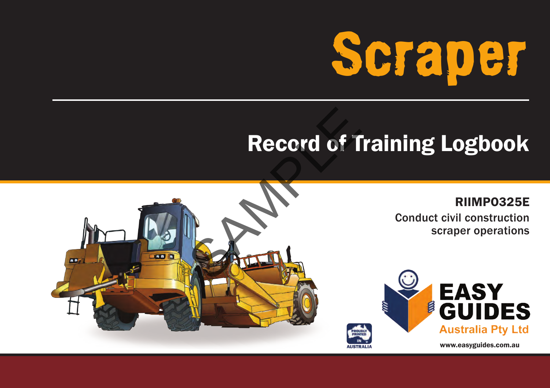

#### Record of Training Logbook





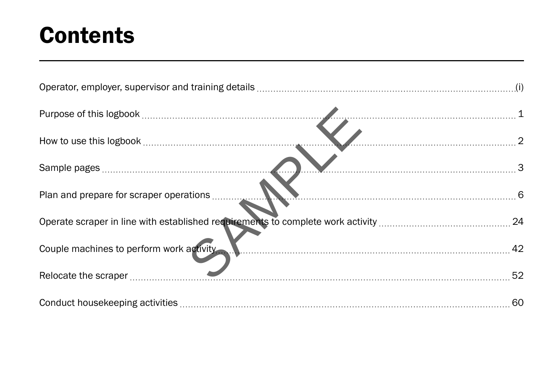#### **Contents**

| Couple machines to perform work activity Manuscritti Manuscritti and Alexander Az |  |
|-----------------------------------------------------------------------------------|--|
|                                                                                   |  |
|                                                                                   |  |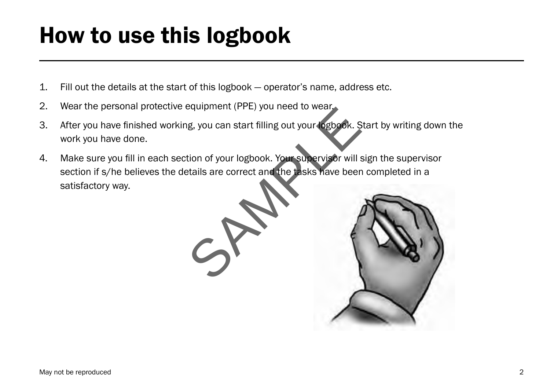### How to use this logbook

- 1. Fill out the details at the start of this logbook operator's name, address etc.
- 2. Wear the personal protective equipment (PPE) you need to wear.
- 3. After you have finished working, you can start filling out your logbook. Start by writing down the work you have done.
- 4. Make sure you fill in each section of your logbook. Your supervisor will sign the supervisor section if s/he believes the details are correct and the tasks have been completed in a satisfactory way.

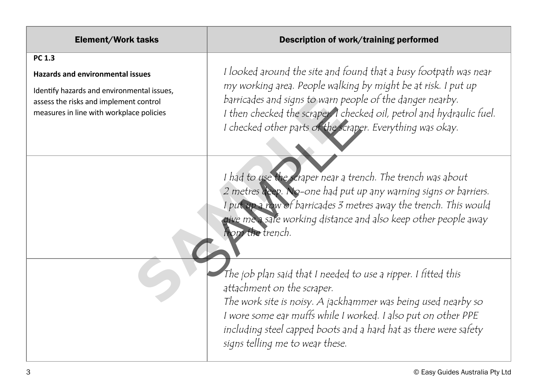| <b>Element/Work tasks</b>                                                                                                                                                             | Description of work/training performed                                                                                                                                                                                                                                                                                                |
|---------------------------------------------------------------------------------------------------------------------------------------------------------------------------------------|---------------------------------------------------------------------------------------------------------------------------------------------------------------------------------------------------------------------------------------------------------------------------------------------------------------------------------------|
| PC 1.3<br><b>Hazards and environmental issues</b><br>Identify hazards and environmental issues,<br>assess the risks and implement control<br>measures in line with workplace policies | I looked around the site and found that a busy footpath was near<br>my working area. People walking by might be at risk. I put up<br>barricades and signs to warn people of the danger nearby.<br>I then checked the scraper. I checked oil, petrol and hydraulic fuel.<br>I checked other parts of the scraper. Everything was okay. |
|                                                                                                                                                                                       | I had to use the scraper near a trench. The trench was about<br>2 metres deep. No-one had put up any warning signs or barriers.<br>I put up a row of barricades 3 metres away the trench. This would<br>give me a safe working distance and also keep other people away<br>from the trench.                                           |
|                                                                                                                                                                                       | The job plan said that I needed to use a ripper. I fitted this<br>attachment on the scraper.<br>The work site is noisy. A jackhammer was being used nearby so<br>I wore some ear muffs while I worked. I also put on other PPE<br>including steel capped boots and a hard hat as there were safety<br>signs telling me to wear these. |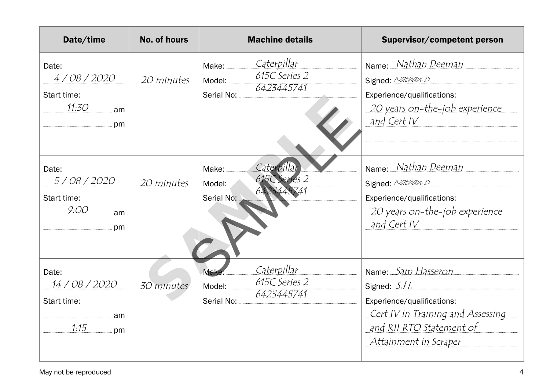| Date/time                                                  | <b>No. of hours</b> | <b>Machine details</b>                                                             | Supervisor/competent person                                                                                                                                |
|------------------------------------------------------------|---------------------|------------------------------------------------------------------------------------|------------------------------------------------------------------------------------------------------------------------------------------------------------|
| Date:<br>4/08/2020<br>Start time:<br>11:30<br>am<br>pm     | 20 minutes          | <u>Caterpillar</u><br>Make:<br>615C Series 2<br>Model:<br>6423445741<br>Serial No: | Name: Nathan Deeman<br>Signed: Nathan D<br>Experience/qualifications:<br><u> 20 years on-the-job experience</u><br>and Cert IV                             |
| Date:<br>5/08/2020<br>Start time:<br>9:OO<br>am<br>pm      | 20 minutes          | Caterpillar<br>Make:<br>615C Series 2<br>Model:<br>6423445741<br>Serial No:        | Name: Nathan Deeman<br>Signed: Nathan D<br>Experience/qualifications:<br><u> 20 years on-the-job experience</u><br>and Cert IV                             |
| Date:<br>14 / 08 / 2020<br>Start time:<br>am<br>1:15<br>pm | 30 minutes          | Caterpillar<br>Make<br>615C Series 2<br>Model:<br>6423445741<br>Serial No:         | Name: Sam Hasseron<br>Signed: S.H.<br>Experience/qualifications:<br>Cert IV in Training and Assessing<br>and RII RTO Statement of<br>Attainment in Scraper |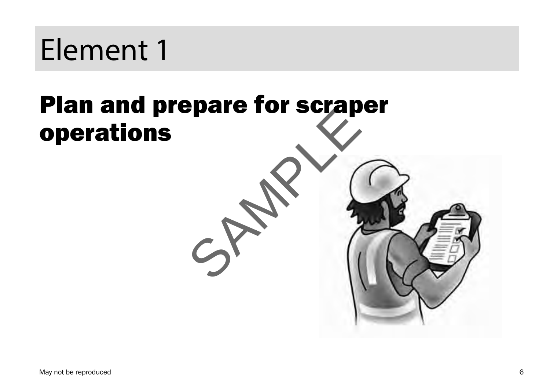# Plan and prepare for scraper operations SAMPLE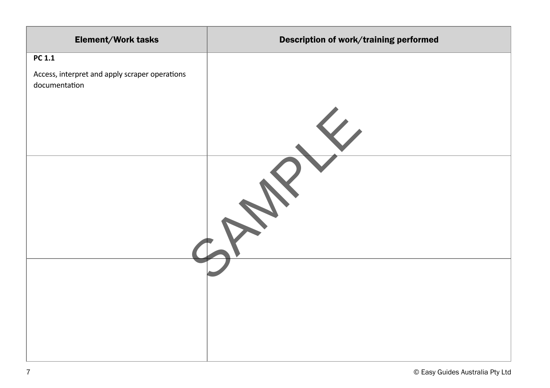| Element/Work tasks                                              | Description of work/training performed |
|-----------------------------------------------------------------|----------------------------------------|
| PC 1.1                                                          |                                        |
| Access, interpret and apply scraper operations<br>documentation |                                        |
|                                                                 |                                        |
|                                                                 |                                        |
|                                                                 |                                        |
|                                                                 |                                        |
|                                                                 |                                        |
|                                                                 |                                        |
|                                                                 |                                        |
|                                                                 |                                        |
|                                                                 |                                        |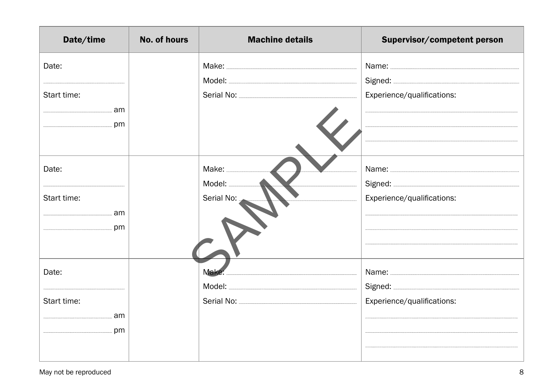| Date/time   | <b>No. of hours</b> | <b>Machine details</b> | Supervisor/competent person |
|-------------|---------------------|------------------------|-----------------------------|
| Date:       |                     |                        |                             |
|             |                     |                        |                             |
| Start time: |                     |                        | Experience/qualifications:  |
|             |                     |                        |                             |
|             |                     |                        | $\overline{a}$              |
|             |                     |                        |                             |
| Date:       |                     |                        |                             |
|             |                     | Model:                 |                             |
| Start time: |                     | Serial No:             | Experience/qualifications:  |
|             |                     |                        |                             |
|             |                     |                        |                             |
|             |                     |                        |                             |
| Date:       |                     | Make:                  |                             |
|             |                     |                        |                             |
| Start time: |                     |                        | Experience/qualifications:  |
|             |                     |                        |                             |
|             |                     |                        |                             |
|             |                     |                        |                             |
|             |                     |                        |                             |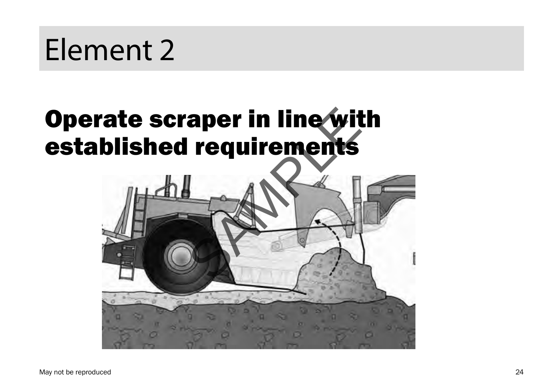## Operate scraper in line with established requirements

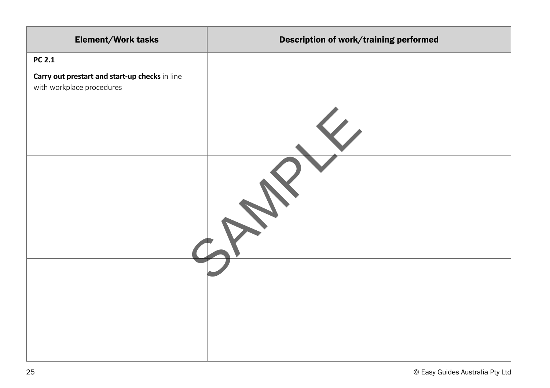| Element/Work tasks                                                          | Description of work/training performed |
|-----------------------------------------------------------------------------|----------------------------------------|
| <b>PC 2.1</b>                                                               |                                        |
| Carry out prestart and start-up checks in line<br>with workplace procedures |                                        |
|                                                                             |                                        |
|                                                                             |                                        |
|                                                                             |                                        |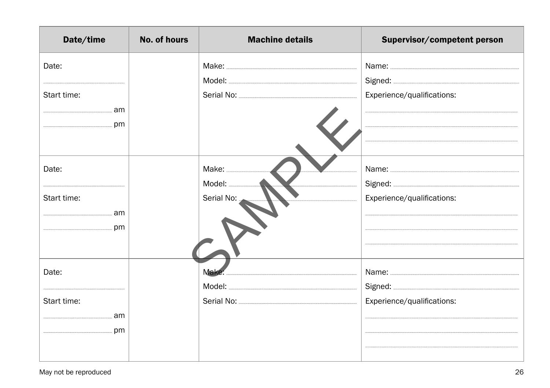| Date/time   | <b>No. of hours</b> | <b>Machine details</b> | Supervisor/competent person |
|-------------|---------------------|------------------------|-----------------------------|
| Date:       |                     |                        |                             |
|             |                     |                        |                             |
| Start time: |                     |                        | Experience/qualifications:  |
|             |                     |                        |                             |
|             |                     |                        | $\overline{a}$              |
|             |                     |                        |                             |
| Date:       |                     |                        |                             |
|             |                     | Model:                 |                             |
| Start time: |                     | Serial No:             | Experience/qualifications:  |
|             |                     |                        |                             |
|             |                     |                        |                             |
|             |                     |                        |                             |
| Date:       |                     | Make:                  |                             |
|             |                     |                        |                             |
| Start time: |                     |                        | Experience/qualifications:  |
|             |                     |                        |                             |
|             |                     |                        |                             |
|             |                     |                        |                             |
|             |                     |                        |                             |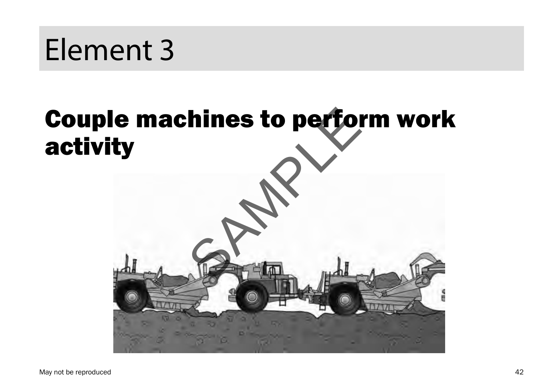

# activity

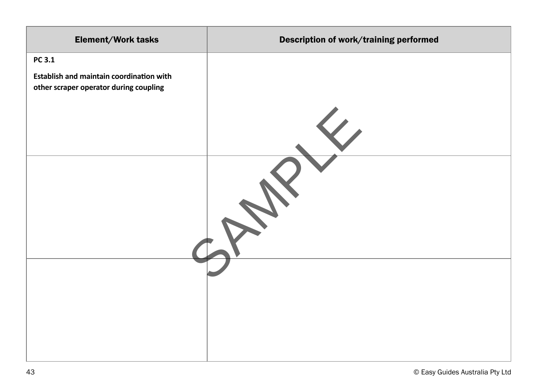| Element/Work tasks                       | Description of work/training performed |
|------------------------------------------|----------------------------------------|
| PC 3.1                                   |                                        |
| Establish and maintain coordination with |                                        |
| other scraper operator during coupling   |                                        |
|                                          |                                        |
|                                          |                                        |
|                                          |                                        |
|                                          |                                        |
|                                          |                                        |
|                                          |                                        |
|                                          |                                        |
|                                          |                                        |
|                                          |                                        |
|                                          |                                        |
|                                          |                                        |
|                                          |                                        |
|                                          |                                        |
|                                          |                                        |
|                                          |                                        |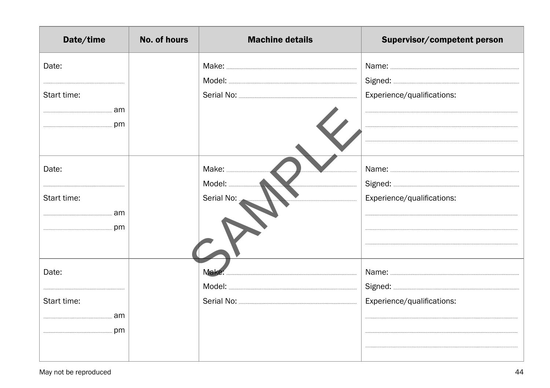| Date/time   | <b>No. of hours</b> | <b>Machine details</b> | Supervisor/competent person |
|-------------|---------------------|------------------------|-----------------------------|
| Date:       |                     |                        |                             |
|             |                     |                        |                             |
| Start time: |                     |                        | Experience/qualifications:  |
|             |                     |                        |                             |
|             |                     |                        | $\overline{a}$              |
|             |                     |                        |                             |
| Date:       |                     |                        |                             |
|             |                     | Model:                 |                             |
| Start time: |                     | Serial No:             | Experience/qualifications:  |
|             |                     |                        |                             |
|             |                     |                        |                             |
|             |                     |                        |                             |
| Date:       |                     | Make:                  |                             |
|             |                     |                        |                             |
| Start time: |                     |                        | Experience/qualifications:  |
|             |                     |                        |                             |
|             |                     |                        |                             |
|             |                     |                        |                             |
|             |                     |                        |                             |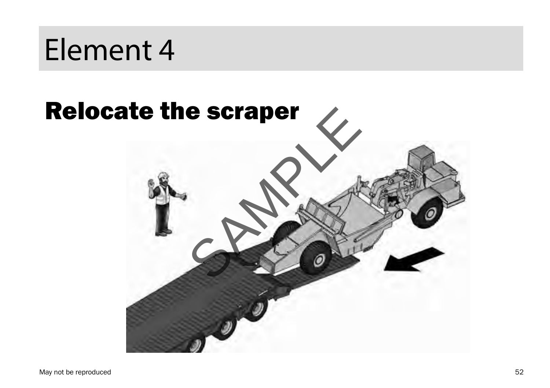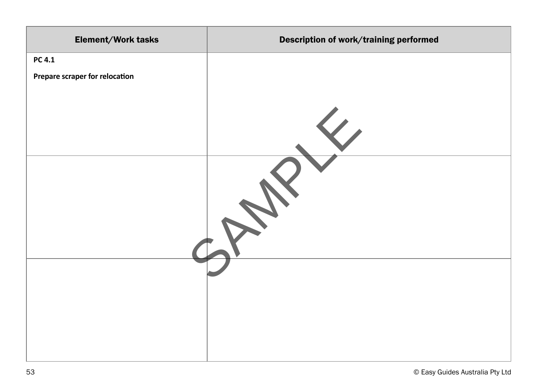| Element/Work tasks             | Description of work/training performed |
|--------------------------------|----------------------------------------|
| PC 4.1                         |                                        |
| Prepare scraper for relocation |                                        |
|                                |                                        |
|                                |                                        |
|                                |                                        |
|                                |                                        |
|                                |                                        |
|                                |                                        |
|                                |                                        |
|                                |                                        |
|                                |                                        |
|                                |                                        |
|                                |                                        |
|                                |                                        |
|                                |                                        |
|                                |                                        |
|                                |                                        |
|                                |                                        |
|                                |                                        |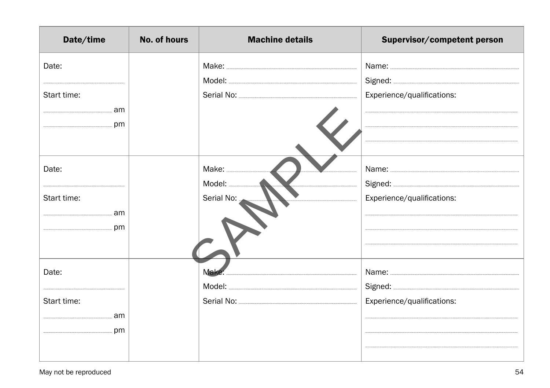| Date/time   | <b>No. of hours</b> | <b>Machine details</b> | Supervisor/competent person |
|-------------|---------------------|------------------------|-----------------------------|
| Date:       |                     |                        |                             |
|             |                     |                        |                             |
| Start time: |                     |                        | Experience/qualifications:  |
|             |                     |                        |                             |
|             |                     |                        | $\overline{a}$              |
|             |                     |                        |                             |
| Date:       |                     |                        |                             |
|             |                     | Model:                 |                             |
| Start time: |                     | Serial No:             | Experience/qualifications:  |
|             |                     |                        |                             |
|             |                     |                        |                             |
|             |                     |                        |                             |
| Date:       |                     | Make:                  |                             |
|             |                     |                        |                             |
| Start time: |                     |                        | Experience/qualifications:  |
|             |                     |                        |                             |
|             |                     |                        |                             |
|             |                     |                        |                             |
|             |                     |                        |                             |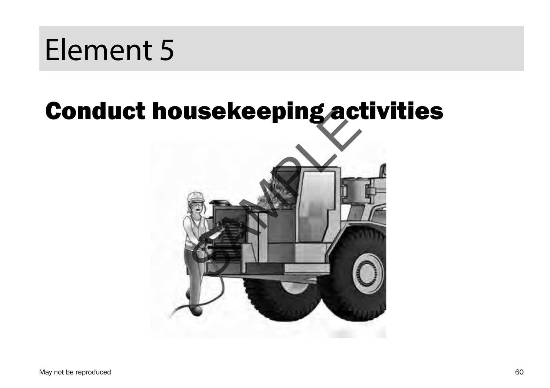### Conduct housekeeping activities

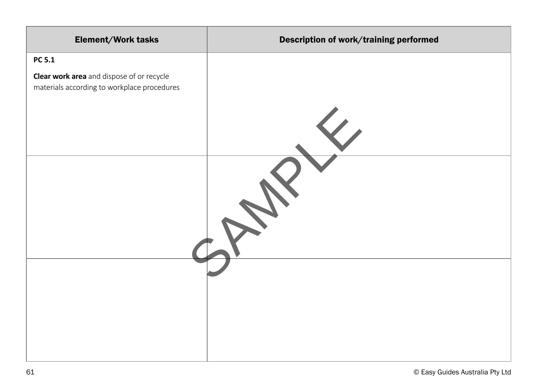| Element/Work tasks                                                                              | Description of work/training performed |
|-------------------------------------------------------------------------------------------------|----------------------------------------|
| PC 5.1                                                                                          |                                        |
| <b>Clear work area</b> and dispose of or recycle<br>materials according to workplace procedures |                                        |
|                                                                                                 |                                        |
|                                                                                                 |                                        |
|                                                                                                 |                                        |
|                                                                                                 |                                        |
|                                                                                                 |                                        |
|                                                                                                 |                                        |